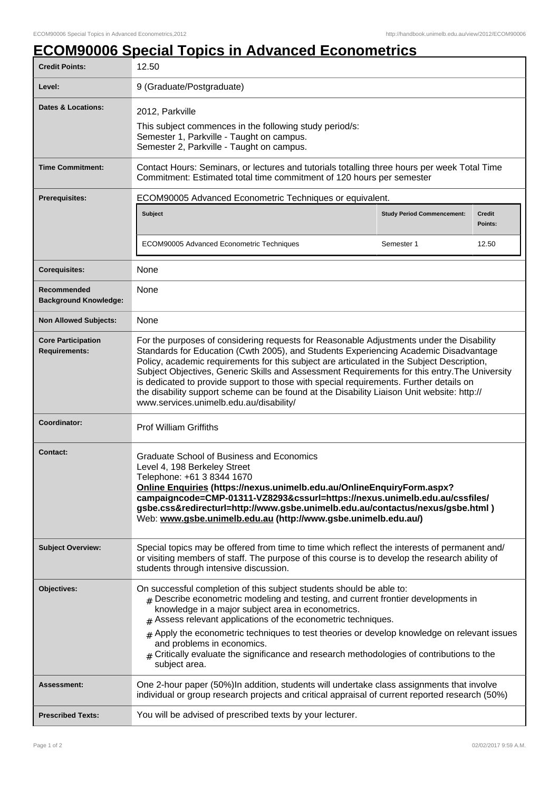## **ECOM90006 Special Topics in Advanced Econometrics**

| <b>Credit Points:</b>                             | 12.50                                                                                                                                                                                                                                                                                                                                                                                                                                                                                                                                                                                                              |                                   |                          |
|---------------------------------------------------|--------------------------------------------------------------------------------------------------------------------------------------------------------------------------------------------------------------------------------------------------------------------------------------------------------------------------------------------------------------------------------------------------------------------------------------------------------------------------------------------------------------------------------------------------------------------------------------------------------------------|-----------------------------------|--------------------------|
| Level:                                            | 9 (Graduate/Postgraduate)                                                                                                                                                                                                                                                                                                                                                                                                                                                                                                                                                                                          |                                   |                          |
| Dates & Locations:                                | 2012, Parkville<br>This subject commences in the following study period/s:<br>Semester 1, Parkville - Taught on campus.<br>Semester 2, Parkville - Taught on campus.                                                                                                                                                                                                                                                                                                                                                                                                                                               |                                   |                          |
| <b>Time Commitment:</b>                           | Contact Hours: Seminars, or lectures and tutorials totalling three hours per week Total Time<br>Commitment: Estimated total time commitment of 120 hours per semester                                                                                                                                                                                                                                                                                                                                                                                                                                              |                                   |                          |
| <b>Prerequisites:</b>                             | ECOM90005 Advanced Econometric Techniques or equivalent.                                                                                                                                                                                                                                                                                                                                                                                                                                                                                                                                                           |                                   |                          |
|                                                   | Subject                                                                                                                                                                                                                                                                                                                                                                                                                                                                                                                                                                                                            | <b>Study Period Commencement:</b> | <b>Credit</b><br>Points: |
|                                                   | ECOM90005 Advanced Econometric Techniques                                                                                                                                                                                                                                                                                                                                                                                                                                                                                                                                                                          | Semester 1                        | 12.50                    |
| <b>Corequisites:</b>                              | None                                                                                                                                                                                                                                                                                                                                                                                                                                                                                                                                                                                                               |                                   |                          |
| Recommended<br><b>Background Knowledge:</b>       | None                                                                                                                                                                                                                                                                                                                                                                                                                                                                                                                                                                                                               |                                   |                          |
| <b>Non Allowed Subjects:</b>                      | None                                                                                                                                                                                                                                                                                                                                                                                                                                                                                                                                                                                                               |                                   |                          |
| <b>Core Participation</b><br><b>Requirements:</b> | For the purposes of considering requests for Reasonable Adjustments under the Disability<br>Standards for Education (Cwth 2005), and Students Experiencing Academic Disadvantage<br>Policy, academic requirements for this subject are articulated in the Subject Description,<br>Subject Objectives, Generic Skills and Assessment Requirements for this entry. The University<br>is dedicated to provide support to those with special requirements. Further details on<br>the disability support scheme can be found at the Disability Liaison Unit website: http://<br>www.services.unimelb.edu.au/disability/ |                                   |                          |
| Coordinator:                                      | <b>Prof William Griffiths</b>                                                                                                                                                                                                                                                                                                                                                                                                                                                                                                                                                                                      |                                   |                          |
| <b>Contact:</b>                                   | <b>Graduate School of Business and Economics</b><br>Level 4, 198 Berkeley Street<br>Telephone: +61 3 8344 1670<br>Online Enquiries (https://nexus.unimelb.edu.au/OnlineEnquiryForm.aspx?<br>campaigncode=CMP-01311-VZ8293&cssurl=https://nexus.unimelb.edu.au/cssfiles/<br>gsbe.css&redirecturl=http://www.gsbe.unimelb.edu.au/contactus/nexus/gsbe.html)<br>Web: www.gsbe.unimelb.edu.au (http://www.gsbe.unimelb.edu.au/)                                                                                                                                                                                        |                                   |                          |
| <b>Subject Overview:</b>                          | Special topics may be offered from time to time which reflect the interests of permanent and/<br>or visiting members of staff. The purpose of this course is to develop the research ability of<br>students through intensive discussion.                                                                                                                                                                                                                                                                                                                                                                          |                                   |                          |
| Objectives:                                       | On successful completion of this subject students should be able to:<br>$#$ Describe econometric modeling and testing, and current frontier developments in<br>knowledge in a major subject area in econometrics.<br>$#$ Assess relevant applications of the econometric techniques.<br>Apply the econometric techniques to test theories or develop knowledge on relevant issues<br>#<br>and problems in economics.<br>$#$ Critically evaluate the significance and research methodologies of contributions to the<br>subject area.                                                                               |                                   |                          |
| Assessment:                                       | One 2-hour paper (50%)In addition, students will undertake class assignments that involve<br>individual or group research projects and critical appraisal of current reported research (50%)                                                                                                                                                                                                                                                                                                                                                                                                                       |                                   |                          |
| <b>Prescribed Texts:</b>                          | You will be advised of prescribed texts by your lecturer.                                                                                                                                                                                                                                                                                                                                                                                                                                                                                                                                                          |                                   |                          |